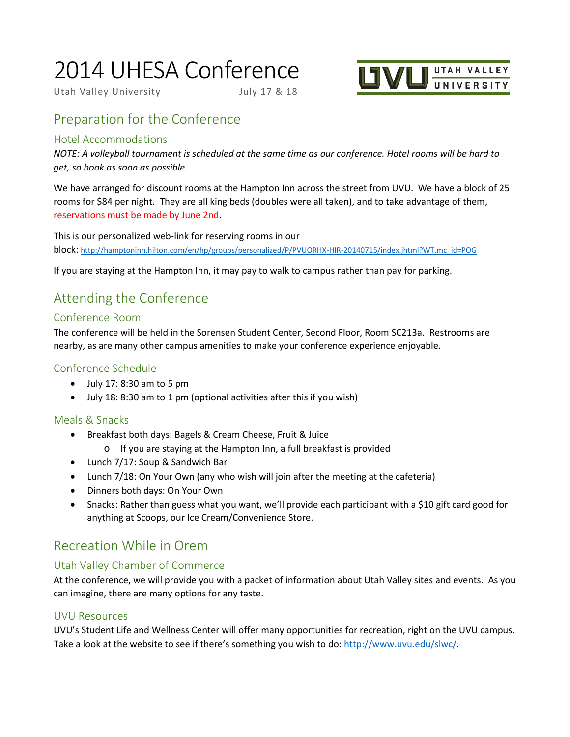# 2014 UHESA Conference

Utah Valley University July 17 & 18



# Preparation for the Conference

#### Hotel Accommodations

*NOTE: A volleyball tournament is scheduled at the same time as our conference. Hotel rooms will be hard to get, so book as soon as possible.*

We have arranged for discount rooms at the Hampton Inn across the street from UVU. We have a block of 25 rooms for \$84 per night. They are all king beds (doubles were all taken), and to take advantage of them, reservations must be made by June 2nd.

This is our personalized web-link for reserving rooms in our block: [http://hamptoninn.hilton.com/en/hp/groups/personalized/P/PVUORHX-HIR-20140715/index.jhtml?WT.mc\\_id=POG](http://hamptoninn.hilton.com/en/hp/groups/personalized/P/PVUORHX-HIR-20140715/index.jhtml?WT.mc_id=POG)

If you are staying at the Hampton Inn, it may pay to walk to campus rather than pay for parking.

# Attending the Conference

# Conference Room

The conference will be held in the Sorensen Student Center, Second Floor, Room SC213a. Restrooms are nearby, as are many other campus amenities to make your conference experience enjoyable.

## Conference Schedule

- July 17: 8:30 am to 5 pm
- July 18: 8:30 am to 1 pm (optional activities after this if you wish)

# Meals & Snacks

- Breakfast both days: Bagels & Cream Cheese, Fruit & Juice
	- o If you are staying at the Hampton Inn, a full breakfast is provided
- Lunch 7/17: Soup & Sandwich Bar
- Lunch 7/18: On Your Own (any who wish will join after the meeting at the cafeteria)
- Dinners both days: On Your Own
- Snacks: Rather than guess what you want, we'll provide each participant with a \$10 gift card good for anything at Scoops, our Ice Cream/Convenience Store.

# Recreation While in Orem

# Utah Valley Chamber of Commerce

At the conference, we will provide you with a packet of information about Utah Valley sites and events. As you can imagine, there are many options for any taste.

#### UVU Resources

UVU's Student Life and Wellness Center will offer many opportunities for recreation, right on the UVU campus. Take a look at the website to see if there's something you wish to do[: http://www.uvu.edu/slwc/.](http://www.uvu.edu/slwc/)